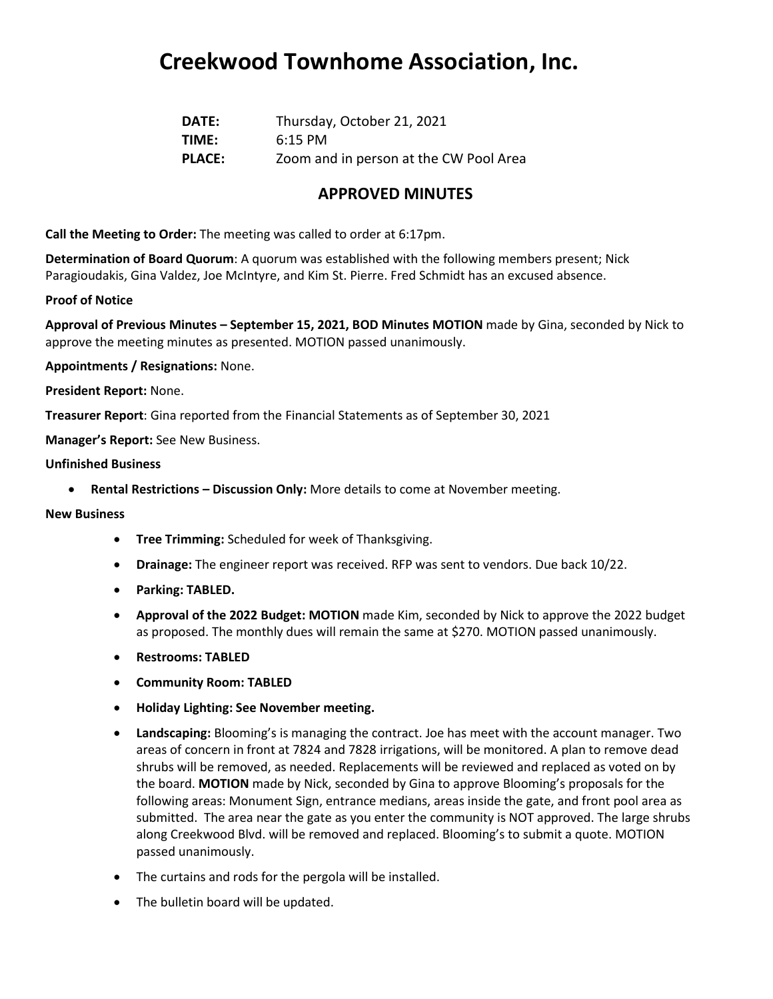## **Creekwood Townhome Association, Inc.**

| <b>DATE:</b>  | Thursday, October 21, 2021             |
|---------------|----------------------------------------|
| TIME:         | $6:15$ PM                              |
| <b>PLACE:</b> | Zoom and in person at the CW Pool Area |

### **APPROVED MINUTES**

**Call the Meeting to Order:** The meeting was called to order at 6:17pm.

**Determination of Board Quorum**: A quorum was established with the following members present; Nick Paragioudakis, Gina Valdez, Joe McIntyre, and Kim St. Pierre. Fred Schmidt has an excused absence.

#### **Proof of Notice**

**Approval of Previous Minutes – September 15, 2021, BOD Minutes MOTION** made by Gina, seconded by Nick to approve the meeting minutes as presented. MOTION passed unanimously.

**Appointments / Resignations:** None.

#### **President Report:** None.

**Treasurer Report**: Gina reported from the Financial Statements as of September 30, 2021

**Manager's Report:** See New Business.

#### **Unfinished Business**

• **Rental Restrictions – Discussion Only:** More details to come at November meeting.

#### **New Business**

- **Tree Trimming:** Scheduled for week of Thanksgiving.
- **Drainage:** The engineer report was received. RFP was sent to vendors. Due back 10/22.
- **Parking: TABLED.**
- **Approval of the 2022 Budget: MOTION** made Kim, seconded by Nick to approve the 2022 budget as proposed. The monthly dues will remain the same at \$270. MOTION passed unanimously.
- **Restrooms: TABLED**
- **Community Room: TABLED**
- **Holiday Lighting: See November meeting.**
- **Landscaping:** Blooming's is managing the contract. Joe has meet with the account manager. Two areas of concern in front at 7824 and 7828 irrigations, will be monitored. A plan to remove dead shrubs will be removed, as needed. Replacements will be reviewed and replaced as voted on by the board. **MOTION** made by Nick, seconded by Gina to approve Blooming's proposals for the following areas: Monument Sign, entrance medians, areas inside the gate, and front pool area as submitted. The area near the gate as you enter the community is NOT approved. The large shrubs along Creekwood Blvd. will be removed and replaced. Blooming's to submit a quote. MOTION passed unanimously.
- The curtains and rods for the pergola will be installed.
- The bulletin board will be updated.